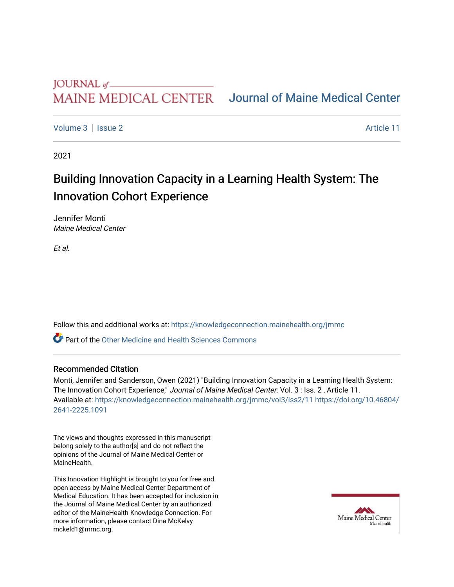## MAINE MEDICAL CENTER

## [Journal of Maine Medical Center](https://knowledgeconnection.mainehealth.org/jmmc)

[Volume 3](https://knowledgeconnection.mainehealth.org/jmmc/vol3) | [Issue 2](https://knowledgeconnection.mainehealth.org/jmmc/vol3/iss2) Article 11

2021

# Building Innovation Capacity in a Learning Health System: The Innovation Cohort Experience

Jennifer Monti Maine Medical Center

Et al.

Follow this and additional works at: [https://knowledgeconnection.mainehealth.org/jmmc](https://knowledgeconnection.mainehealth.org/jmmc?utm_source=knowledgeconnection.mainehealth.org%2Fjmmc%2Fvol3%2Fiss2%2F11&utm_medium=PDF&utm_campaign=PDFCoverPages) 

**P** Part of the [Other Medicine and Health Sciences Commons](https://network.bepress.com/hgg/discipline/772?utm_source=knowledgeconnection.mainehealth.org%2Fjmmc%2Fvol3%2Fiss2%2F11&utm_medium=PDF&utm_campaign=PDFCoverPages)

#### Recommended Citation

Monti, Jennifer and Sanderson, Owen (2021) "Building Innovation Capacity in a Learning Health System: The Innovation Cohort Experience," Journal of Maine Medical Center: Vol. 3 : Iss. 2, Article 11. Available at: [https://knowledgeconnection.mainehealth.org/jmmc/vol3/iss2/11](https://knowledgeconnection.mainehealth.org/jmmc/vol3/iss2/11?utm_source=knowledgeconnection.mainehealth.org%2Fjmmc%2Fvol3%2Fiss2%2F11&utm_medium=PDF&utm_campaign=PDFCoverPages) [https://doi.org/10.46804/](https://doi.org/10.46804/2641-2225.1091) [2641-2225.1091](https://doi.org/10.46804/2641-2225.1091) 

The views and thoughts expressed in this manuscript belong solely to the author[s] and do not reflect the opinions of the Journal of Maine Medical Center or MaineHealth.

This Innovation Highlight is brought to you for free and open access by Maine Medical Center Department of Medical Education. It has been accepted for inclusion in the Journal of Maine Medical Center by an authorized editor of the MaineHealth Knowledge Connection. For more information, please contact Dina McKelvy mckeld1@mmc.org.

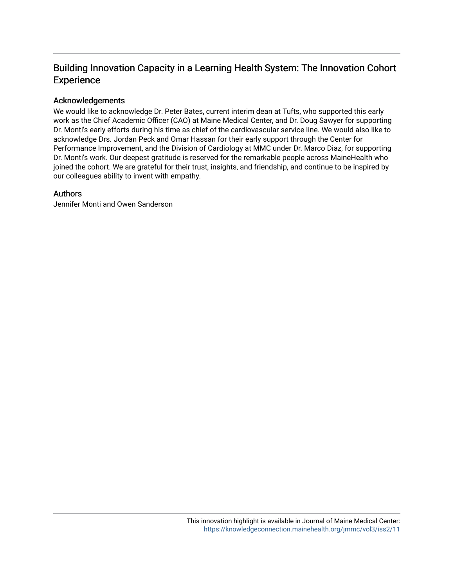### Building Innovation Capacity in a Learning Health System: The Innovation Cohort Experience

### Acknowledgements

We would like to acknowledge Dr. Peter Bates, current interim dean at Tufts, who supported this early work as the Chief Academic Officer (CAO) at Maine Medical Center, and Dr. Doug Sawyer for supporting Dr. Monti's early efforts during his time as chief of the cardiovascular service line. We would also like to acknowledge Drs. Jordan Peck and Omar Hassan for their early support through the Center for Performance Improvement, and the Division of Cardiology at MMC under Dr. Marco Diaz, for supporting Dr. Monti's work. Our deepest gratitude is reserved for the remarkable people across MaineHealth who joined the cohort. We are grateful for their trust, insights, and friendship, and continue to be inspired by our colleagues ability to invent with empathy.

### Authors

Jennifer Monti and Owen Sanderson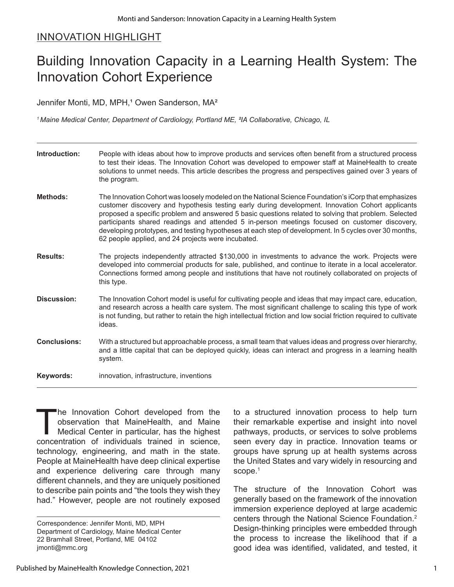### INNOVATION HIGHLIGHT

# Building Innovation Capacity in a Learning Health System: The Innovation Cohort Experience

Jennifer Monti, MD, MPH,<sup>1</sup> Owen Sanderson, MA<sup>2</sup>

*1 Maine Medical Center, Department of Cardiology, Portland ME, ²IA Collaborative, Chicago, IL*

| Introduction:       | People with ideas about how to improve products and services often benefit from a structured process<br>to test their ideas. The Innovation Cohort was developed to empower staff at MaineHealth to create<br>solutions to unmet needs. This article describes the progress and perspectives gained over 3 years of<br>the program.                                                                                                                                                                                                                                               |
|---------------------|-----------------------------------------------------------------------------------------------------------------------------------------------------------------------------------------------------------------------------------------------------------------------------------------------------------------------------------------------------------------------------------------------------------------------------------------------------------------------------------------------------------------------------------------------------------------------------------|
| <b>Methods:</b>     | The Innovation Cohort was loosely modeled on the National Science Foundation's iCorp that emphasizes<br>customer discovery and hypothesis testing early during development. Innovation Cohort applicants<br>proposed a specific problem and answered 5 basic questions related to solving that problem. Selected<br>participants shared readings and attended 5 in-person meetings focused on customer discovery,<br>developing prototypes, and testing hypotheses at each step of development. In 5 cycles over 30 months,<br>62 people applied, and 24 projects were incubated. |
| <b>Results:</b>     | The projects independently attracted \$130,000 in investments to advance the work. Projects were<br>developed into commercial products for sale, published, and continue to iterate in a local accelerator.<br>Connections formed among people and institutions that have not routinely collaborated on projects of<br>this type.                                                                                                                                                                                                                                                 |
| Discussion:         | The Innovation Cohort model is useful for cultivating people and ideas that may impact care, education,<br>and research across a health care system. The most significant challenge to scaling this type of work<br>is not funding, but rather to retain the high intellectual friction and low social friction required to cultivate<br>ideas.                                                                                                                                                                                                                                   |
| <b>Conclusions:</b> | With a structured but approachable process, a small team that values ideas and progress over hierarchy,<br>and a little capital that can be deployed quickly, ideas can interact and progress in a learning health<br>system.                                                                                                                                                                                                                                                                                                                                                     |
| Keywords:           | innovation, infrastructure, inventions                                                                                                                                                                                                                                                                                                                                                                                                                                                                                                                                            |

The Innovation Cohort developed from the observation that MaineHealth, and Maine Medical Center in particular, has the highest concentration of individuals trained in science, technology, engineering, and math in the state. People at MaineHealth have deep clinical expertise and experience delivering care through many different channels, and they are uniquely positioned to describe pain points and "the tools they wish they had." However, people are not routinely exposed

to a structured innovation process to help turn their remarkable expertise and insight into novel pathways, products, or services to solve problems seen every day in practice. Innovation teams or groups have sprung up at health systems across the United States and vary widely in resourcing and scope.<sup>1</sup>

The structure of the Innovation Cohort was generally based on the framework of the innovation immersion experience deployed at large academic centers through the National Science Foundation.2 Design-thinking principles were embedded through the process to increase the likelihood that if a good idea was identified, validated, and tested, it

Correspondence: Jennifer Monti, MD, MPH Department of Cardiology, Maine Medical Center 22 Bramhall Street, Portland, ME 04102 jmonti@mmc.org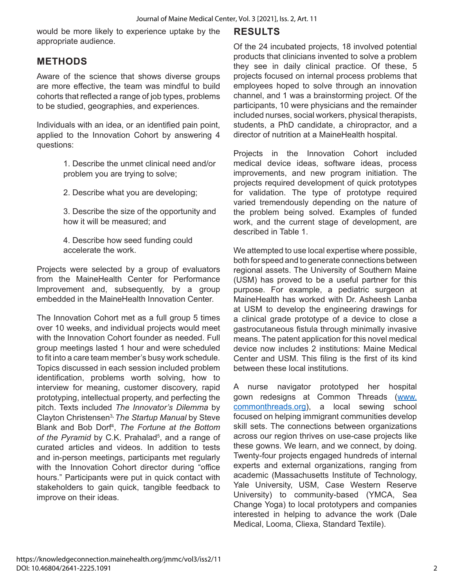would be more likely to experience uptake by the appropriate audience.

### **METHODS**

Aware of the science that shows diverse groups are more effective, the team was mindful to build cohorts that reflected a range of job types, problems to be studied, geographies, and experiences.

Individuals with an idea, or an identified pain point, applied to the Innovation Cohort by answering 4 questions:

> 1. Describe the unmet clinical need and/or problem you are trying to solve;

2. Describe what you are developing;

3. Describe the size of the opportunity and how it will be measured; and

4. Describe how seed funding could accelerate the work.

Projects were selected by a group of evaluators from the MaineHealth Center for Performance Improvement and, subsequently, by a group embedded in the MaineHealth Innovation Center.

The Innovation Cohort met as a full group 5 times over 10 weeks, and individual projects would meet with the Innovation Cohort founder as needed. Full group meetings lasted 1 hour and were scheduled to fit into a care team member's busy work schedule. Topics discussed in each session included problem identification, problems worth solving, how to interview for meaning, customer discovery, rapid prototyping, intellectual property, and perfecting the pitch. Texts included *The Innovator's Dilemma* by Clayton Christensen3**,** *The Startup Manual* by Steve Blank and Bob Dorf<sup>4</sup> , *The Fortune at the Bottom of the Pyramid* by C.K. Prahalad<sup>5</sup>, and a range of curated articles and videos. In addition to tests and in-person meetings, participants met regularly with the Innovation Cohort director during "office hours." Participants were put in quick contact with stakeholders to gain quick, tangible feedback to improve on their ideas.

### **RESULTS**

Of the 24 incubated projects, 18 involved potential products that clinicians invented to solve a problem they see in daily clinical practice. Of these, 5 projects focused on internal process problems that employees hoped to solve through an innovation channel, and 1 was a brainstorming project. Of the participants, 10 were physicians and the remainder included nurses, social workers, physical therapists, students, a PhD candidate, a chiropractor, and a director of nutrition at a MaineHealth hospital.

Projects in the Innovation Cohort included medical device ideas, software ideas, process improvements, and new program initiation. The projects required development of quick prototypes for validation. The type of prototype required varied tremendously depending on the nature of the problem being solved. Examples of funded work, and the current stage of development, are described in Table 1.

We attempted to use local expertise where possible, both for speed and to generate connections between regional assets. The University of Southern Maine (USM) has proved to be a useful partner for this purpose. For example, a pediatric surgeon at MaineHealth has worked with Dr. Asheesh Lanba at USM to develop the engineering drawings for a clinical grade prototype of a device to close a gastrocutaneous fistula through minimally invasive means. The patent application for this novel medical device now includes 2 institutions: Maine Medical Center and USM. This filing is the first of its kind between these local institutions.

A nurse navigator prototyped her hospital gown redesigns at Common Threads (www. commonthreads.org), a local sewing school focused on helping immigrant communities develop skill sets. The connections between organizations across our region thrives on use-case projects like these gowns. We learn, and we connect, by doing. Twenty-four projects engaged hundreds of internal experts and external organizations, ranging from academic (Massachusetts Institute of Technology, Yale University, USM, Case Western Reserve University) to community-based (YMCA, Sea Change Yoga) to local prototypers and companies interested in helping to advance the work (Dale Medical, Looma, Cliexa, Standard Textile).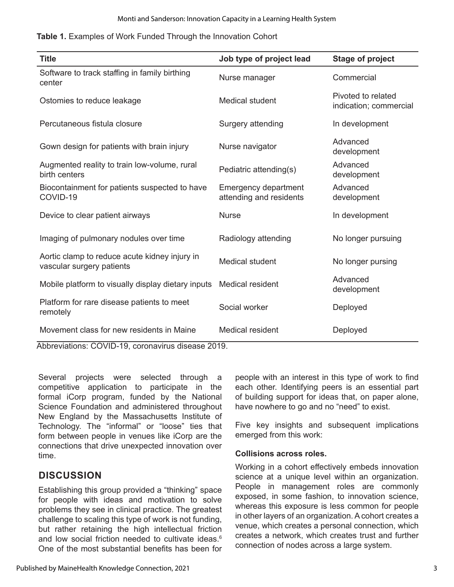|  |  |  | Table 1. Examples of Work Funded Through the Innovation Cohort |
|--|--|--|----------------------------------------------------------------|
|--|--|--|----------------------------------------------------------------|

| <b>Title</b>                                                               | Job type of project lead                               | <b>Stage of project</b>                      |  |  |
|----------------------------------------------------------------------------|--------------------------------------------------------|----------------------------------------------|--|--|
| Software to track staffing in family birthing<br>center                    | Nurse manager                                          | Commercial                                   |  |  |
| Ostomies to reduce leakage                                                 | <b>Medical student</b>                                 | Pivoted to related<br>indication; commercial |  |  |
| Percutaneous fistula closure                                               | Surgery attending                                      | In development                               |  |  |
| Gown design for patients with brain injury                                 | Nurse navigator                                        | Advanced<br>development                      |  |  |
| Augmented reality to train low-volume, rural<br>birth centers              | Pediatric attending(s)                                 | Advanced<br>development                      |  |  |
| Biocontainment for patients suspected to have<br>COVID-19                  | <b>Emergency department</b><br>attending and residents | Advanced<br>development                      |  |  |
| Device to clear patient airways                                            | <b>Nurse</b>                                           | In development                               |  |  |
| Imaging of pulmonary nodules over time                                     | Radiology attending                                    | No longer pursuing                           |  |  |
| Aortic clamp to reduce acute kidney injury in<br>vascular surgery patients | <b>Medical student</b>                                 | No longer pursing                            |  |  |
| Mobile platform to visually display dietary inputs                         | <b>Medical resident</b>                                | Advanced<br>development                      |  |  |
| Platform for rare disease patients to meet<br>remotely                     | Social worker                                          | Deployed                                     |  |  |
| Movement class for new residents in Maine                                  | <b>Medical resident</b>                                | Deployed                                     |  |  |
| Abbreviations: COVID-19, coronavirus disease 2019.                         |                                                        |                                              |  |  |

Several projects were selected through a competitive application to participate in the formal iCorp program, funded by the National Science Foundation and administered throughout New England by the Massachusetts Institute of Technology. The "informal" or "loose" ties that form between people in venues like iCorp are the connections that drive unexpected innovation over time.

### **DISCUSSION**

Establishing this group provided a "thinking" space for people with ideas and motivation to solve problems they see in clinical practice. The greatest challenge to scaling this type of work is not funding, but rather retaining the high intellectual friction and low social friction needed to cultivate ideas.<sup>6</sup> One of the most substantial benefits has been for

Published by MaineHealth Knowledge Connection, 2021

people with an interest in this type of work to find each other. Identifying peers is an essential part of building support for ideas that, on paper alone, have nowhere to go and no "need" to exist.

Five key insights and subsequent implications emerged from this work:

### **Collisions across roles.**

Working in a cohort effectively embeds innovation science at a unique level within an organization. People in management roles are commonly exposed, in some fashion, to innovation science, whereas this exposure is less common for people in other layers of an organization. A cohort creates a venue, which creates a personal connection, which creates a network, which creates trust and further connection of nodes across a large system.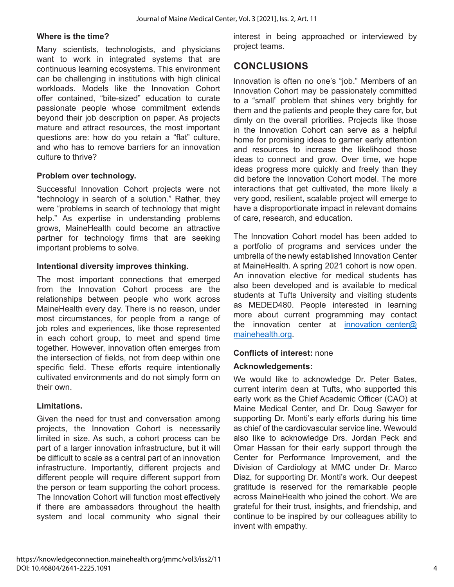### **Where is the time?**

Many scientists, technologists, and physicians want to work in integrated systems that are continuous learning ecosystems. This environment can be challenging in institutions with high clinical workloads. Models like the Innovation Cohort offer contained, "bite-sized" education to curate passionate people whose commitment extends beyond their job description on paper. As projects mature and attract resources, the most important questions are: how do you retain a "flat" culture, and who has to remove barriers for an innovation culture to thrive?

### **Problem over technology.**

Successful Innovation Cohort projects were not "technology in search of a solution." Rather, they were "problems in search of technology that might help." As expertise in understanding problems grows, MaineHealth could become an attractive partner for technology firms that are seeking important problems to solve.

### **Intentional diversity improves thinking.**

The most important connections that emerged from the Innovation Cohort process are the relationships between people who work across MaineHealth every day. There is no reason, under most circumstances, for people from a range of job roles and experiences, like those represented in each cohort group, to meet and spend time together. However, innovation often emerges from the intersection of fields, not from deep within one specific field. These efforts require intentionally cultivated environments and do not simply form on their own.

### **Limitations.**

Given the need for trust and conversation among projects, the Innovation Cohort is necessarily limited in size. As such, a cohort process can be part of a larger innovation infrastructure, but it will be difficult to scale as a central part of an innovation infrastructure. Importantly, different projects and different people will require different support from the person or team supporting the cohort process. The Innovation Cohort will function most effectively if there are ambassadors throughout the health system and local community who signal their interest in being approached or interviewed by project teams.

### **CONCLUSIONS**

Innovation is often no one's "job." Members of an Innovation Cohort may be passionately committed to a "small" problem that shines very brightly for them and the patients and people they care for, but dimly on the overall priorities. Projects like those in the Innovation Cohort can serve as a helpful home for promising ideas to garner early attention and resources to increase the likelihood those ideas to connect and grow. Over time, we hope ideas progress more quickly and freely than they did before the Innovation Cohort model. The more interactions that get cultivated, the more likely a very good, resilient, scalable project will emerge to have a disproportionate impact in relevant domains of care, research, and education.

The Innovation Cohort model has been added to a portfolio of programs and services under the umbrella of the newly established Innovation Center at MaineHealth. A spring 2021 cohort is now open. An innovation elective for medical students has also been developed and is available to medical students at Tufts University and visiting students as MEDED480. People interested in learning more about current programming may contact the innovation center at innovation center@ mainehealth.org.

### **Conflicts of interest:** none

### **Acknowledgements:**

We would like to acknowledge Dr. Peter Bates, current interim dean at Tufts, who supported this early work as the Chief Academic Officer (CAO) at Maine Medical Center, and Dr. Doug Sawyer for supporting Dr. Monti's early efforts during his time as chief of the cardiovascular service line. Wewould also like to acknowledge Drs. Jordan Peck and Omar Hassan for their early support through the Center for Performance Improvement, and the Division of Cardiology at MMC under Dr. Marco Diaz, for supporting Dr. Monti's work. Our deepest gratitude is reserved for the remarkable people across MaineHealth who joined the cohort. We are grateful for their trust, insights, and friendship, and continue to be inspired by our colleagues ability to invent with empathy.